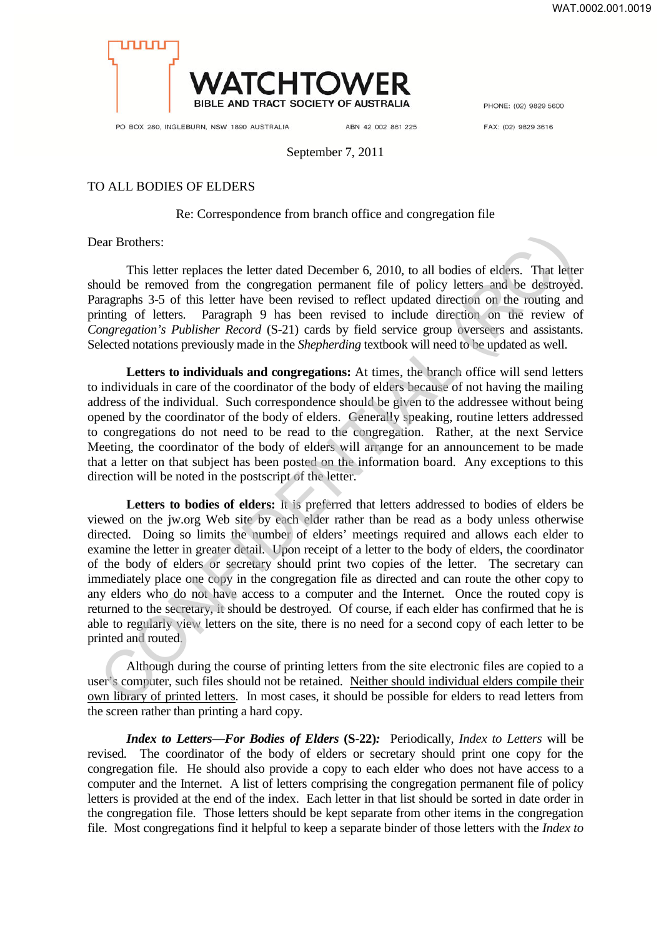

PHONE: (02) 9829 5600

PO BOX 280, INGLEBURN, NSW 1890 AUSTRALIA

ABN 42 002 861 225

FAX: (02) 9829 3616

September 7, 2011

## TO ALL BODIES OF ELDERS

## Re: Correspondence from branch office and congregation file

Dear Brothers:

This letter replaces the letter dated December 6, 2010, to all bodies of elders. That letter should be removed from the congregation permanent file of policy letters and be destroyed. Paragraphs 3-5 of this letter have been revised to reflect updated direction on the routing and printing of letters. Paragraph 9 has been revised to include direction on the review of *Congregation's Publisher Record* (S-21) cards by field service group overseers and assistants. Selected notations previously made in the *Shepherding* textbook will need to be updated as well.

**Letters to individuals and congregations:** At times, the branch office will send letters to individuals in care of the coordinator of the body of elders because of not having the mailing address of the individual. Such correspondence should be given to the addressee without being opened by the coordinator of the body of elders. Generally speaking, routine letters addressed to congregations do not need to be read to the congregation. Rather, at the next Service Meeting, the coordinator of the body of elders will arrange for an announcement to be made that a letter on that subject has been posted on the information board. Any exceptions to this direction will be noted in the postscript of the letter.

**Letters to bodies of elders:** It is preferred that letters addressed to bodies of elders be viewed on the jw.org Web site by each elder rather than be read as a body unless otherwise directed. Doing so limits the number of elders' meetings required and allows each elder to examine the letter in greater detail. Upon receipt of a letter to the body of elders, the coordinator of the body of elders or secretary should print two copies of the letter. The secretary can immediately place one copy in the congregation file as directed and can route the other copy to any elders who do not have access to a computer and the Internet. Once the routed copy is returned to the secretary, it should be destroyed. Of course, if each elder has confirmed that he is able to regularly view letters on the site, there is no need for a second copy of each letter to be printed and routed. ear Brothers:<br>
This letter replaces the letter dated December 6, 2010, to all bodies of eders. That letter<br>
could be removed from the congraging operation permanent file of policy letters and be destivey<br>
are aragraphs 3-

Although during the course of printing letters from the site electronic files are copied to a user's computer, such files should not be retained. Neither should individual elders compile their own library of printed letters. In most cases, it should be possible for elders to read letters from the screen rather than printing a hard copy.

*Index to Letters—For Bodies of Elders* **(S-22)***:* Periodically, *Index to Letters* will be revised*.* The coordinator of the body of elders or secretary should print one copy for the congregation file. He should also provide a copy to each elder who does not have access to a computer and the Internet. A list of letters comprising the congregation permanent file of policy letters is provided at the end of the index. Each letter in that list should be sorted in date order in the congregation file. Those letters should be kept separate from other items in the congregation file. Most congregations find it helpful to keep a separate binder of those letters with the *Index to*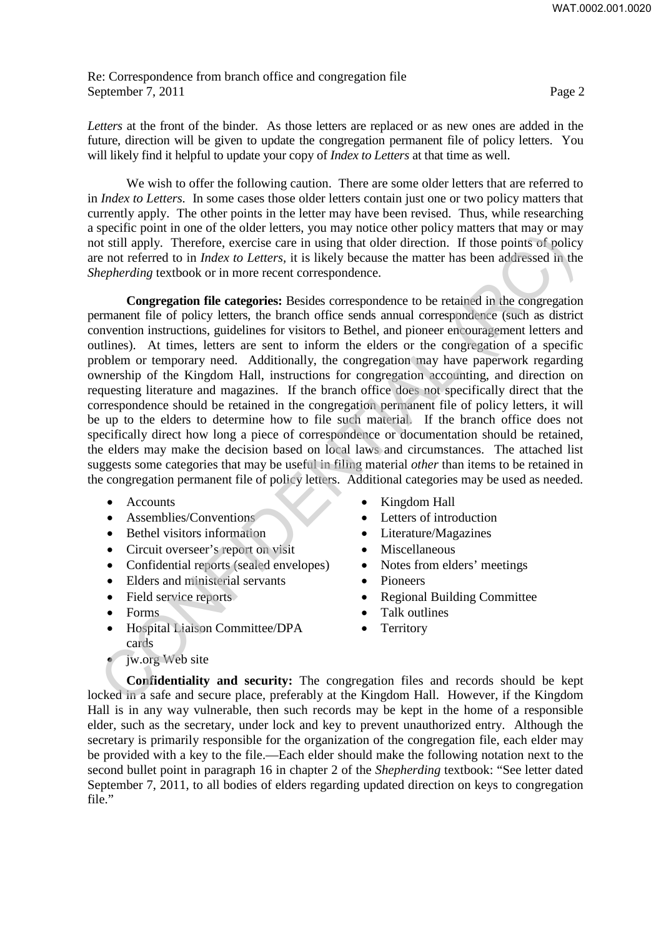Re: Correspondence from branch office and congregation file September 7, 2011 Page 2

*Letters* at the front of the binder. As those letters are replaced or as new ones are added in the future, direction will be given to update the congregation permanent file of policy letters. You will likely find it helpful to update your copy of *Index to Letters* at that time as well.

We wish to offer the following caution. There are some older letters that are referred to in *Index to Letters.* In some cases those older letters contain just one or two policy matters that currently apply. The other points in the letter may have been revised. Thus, while researching a specific point in one of the older letters, you may notice other policy matters that may or may not still apply. Therefore, exercise care in using that older direction. If those points of policy are not referred to in *Index to Letters,* it is likely because the matter has been addressed in the *Shepherding* textbook or in more recent correspondence.

**Congregation file categories:** Besides correspondence to be retained in the congregation permanent file of policy letters, the branch office sends annual correspondence (such as district convention instructions, guidelines for visitors to Bethel, and pioneer encouragement letters and outlines). At times, letters are sent to inform the elders or the congregation of a specific problem or temporary need. Additionally, the congregation may have paperwork regarding ownership of the Kingdom Hall, instructions for congregation accounting, and direction on requesting literature and magazines. If the branch office does not specifically direct that the correspondence should be retained in the congregation permanent file of policy letters, it will be up to the elders to determine how to file such material. If the branch office does not specifically direct how long a piece of correspondence or documentation should be retained, the elders may make the decision based on local laws and circumstances. The attached list suggests some categories that may be useful in filing material *other* than items to be retained in the congregation permanent file of policy letters. Additional categories may be used as needed. spectra point in out of the other is the islable point. The thorean in set in the state is the point of the points of indicate the points of bolical in the term, it is histly because the matter has been addressed in the p

- Accounts
- Assemblies/Conventions
- Bethel visitors information
- Circuit overseer's report on visit
- Confidential reports (sealed envelopes)
- Elders and ministerial servants
- Field service reports
- Forms
- Hospital Liaison Committee/DPA cards
- jw.org Web site
- Kingdom Hall
- Letters of introduction
- Literature/Magazines
- Miscellaneous
- Notes from elders' meetings
- Pioneers
- Regional Building Committee
- Talk outlines
- Territory

**Confidentiality and security:** The congregation files and records should be kept locked in a safe and secure place, preferably at the Kingdom Hall. However, if the Kingdom Hall is in any way vulnerable, then such records may be kept in the home of a responsible elder, such as the secretary, under lock and key to prevent unauthorized entry. Although the secretary is primarily responsible for the organization of the congregation file, each elder may be provided with a key to the file.—Each elder should make the following notation next to the second bullet point in paragraph 16 in chapter 2 of the *Shepherding* textbook: "See letter dated September 7, 2011, to all bodies of elders regarding updated direction on keys to congregation file."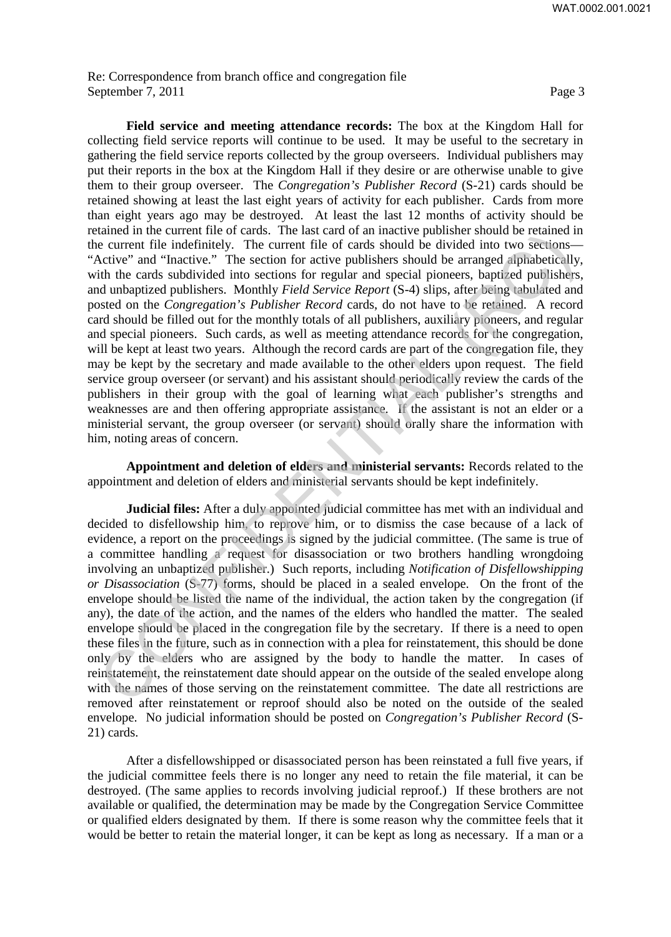Re: Correspondence from branch office and congregation file September 7, 2011 Page 3

**Field service and meeting attendance records:** The box at the Kingdom Hall for collecting field service reports will continue to be used. It may be useful to the secretary in gathering the field service reports collected by the group overseers. Individual publishers may put their reports in the box at the Kingdom Hall if they desire or are otherwise unable to give them to their group overseer. The *Congregation's Publisher Record* (S-21) cards should be retained showing at least the last eight years of activity for each publisher. Cards from more than eight years ago may be destroyed. At least the last 12 months of activity should be retained in the current file of cards. The last card of an inactive publisher should be retained in the current file indefinitely. The current file of cards should be divided into two sections— "Active" and "Inactive." The section for active publishers should be arranged alphabetically, with the cards subdivided into sections for regular and special pioneers, baptized publishers, and unbaptized publishers. Monthly *Field Service Report* (S-4) slips, after being tabulated and posted on the *Congregation's Publisher Record* cards, do not have to be retained. A record card should be filled out for the monthly totals of all publishers, auxiliary pioneers, and regular and special pioneers. Such cards, as well as meeting attendance records for the congregation, will be kept at least two years. Although the record cards are part of the congregation file, they may be kept by the secretary and made available to the other elders upon request. The field service group overseer (or servant) and his assistant should periodically review the cards of the publishers in their group with the goal of learning what each publisher's strengths and weaknesses are and then offering appropriate assistance. If the assistant is not an elder or a ministerial servant, the group overseer (or servant) should orally share the information with him, noting areas of concern. and antimation of extensive and the state can of an interactive phanelin and the enter the indefinitely. The ucrear file of earst should be bivided into two sections-<br>electrons-<br>electrons-<br>the electron for active publisher

**Appointment and deletion of elders and ministerial servants:** Records related to the appointment and deletion of elders and ministerial servants should be kept indefinitely.

**Judicial files:** After a duly appointed judicial committee has met with an individual and decided to disfellowship him, to reprove him, or to dismiss the case because of a lack of evidence, a report on the proceedings is signed by the judicial committee. (The same is true of a committee handling a request for disassociation or two brothers handling wrongdoing involving an unbaptized publisher.) Such reports, including *Notification of Disfellowshipping or Disassociation* (S-77) forms, should be placed in a sealed envelope. On the front of the envelope should be listed the name of the individual, the action taken by the congregation (if any), the date of the action, and the names of the elders who handled the matter. The sealed envelope should be placed in the congregation file by the secretary. If there is a need to open these files in the future, such as in connection with a plea for reinstatement, this should be done only by the elders who are assigned by the body to handle the matter. In cases of reinstatement, the reinstatement date should appear on the outside of the sealed envelope along with the names of those serving on the reinstatement committee. The date all restrictions are removed after reinstatement or reproof should also be noted on the outside of the sealed envelope. No judicial information should be posted on *Congregation's Publisher Record* (S-21) cards.

After a disfellowshipped or disassociated person has been reinstated a full five years, if the judicial committee feels there is no longer any need to retain the file material, it can be destroyed. (The same applies to records involving judicial reproof.) If these brothers are not available or qualified, the determination may be made by the Congregation Service Committee or qualified elders designated by them. If there is some reason why the committee feels that it would be better to retain the material longer, it can be kept as long as necessary. If a man or a